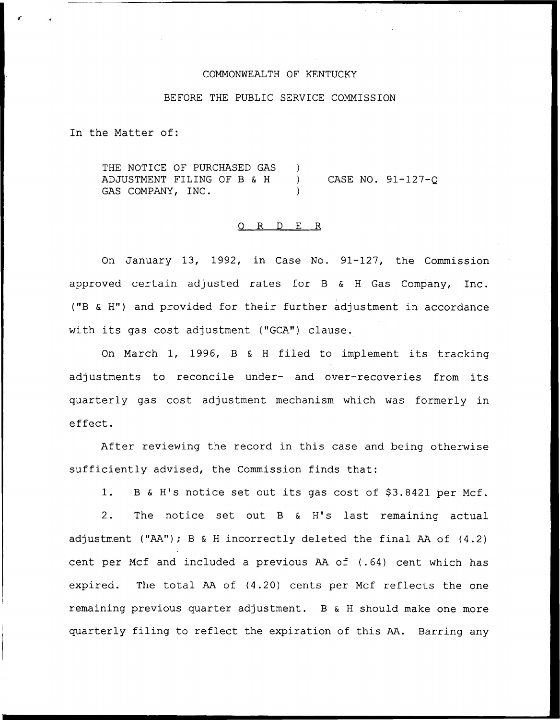## COMMONWEALTH OF KENTUCKY

### BEFORE THE PUBLIC SERVICE COMMISSION

In the Matter of:

THE NOTICE OF PURCHASED GAS ADJUSTMENT FILING OF B & <sup>H</sup> GAS COMPANY, INC. ) ) CASE NO. 91-127-Q )

## 0 R <sup>D</sup> E R

On January 13, 1992, in Case No. 91-127, the Commission approved certain adjusted rates for <sup>B</sup> & <sup>H</sup> Gas Company, Inc. ("B & H") and provided for their further adjustment in accordance with its gas cost adjustment ("GCA") clause.

On March 1, 1996, <sup>B</sup> & <sup>H</sup> filed to implement its tracking adjustments to reconcile under- and over-recoveries from its quarterly gas cost adjustment mechanism which was formerly in effect.

After reviewing the record in this case and being otherwise sufficiently advised, the Commission finds that:

1. B & H's notice set out its gas cost of \$3.8421 per Mcf.

2. The notice set out <sup>B</sup> & H's last remaining actual adjustment ("AA"); <sup>B</sup> & <sup>H</sup> incorrectly deleted the final AA of (4.2) cent per Mcf and included a previous AA of (.64) cent which has expired. The total AA of (4.20) cents per Mcf reflects the one remaining previous quarter adjustment. B & <sup>H</sup> should make one more quarterly filing to reflect the expiration of this AA. Barring any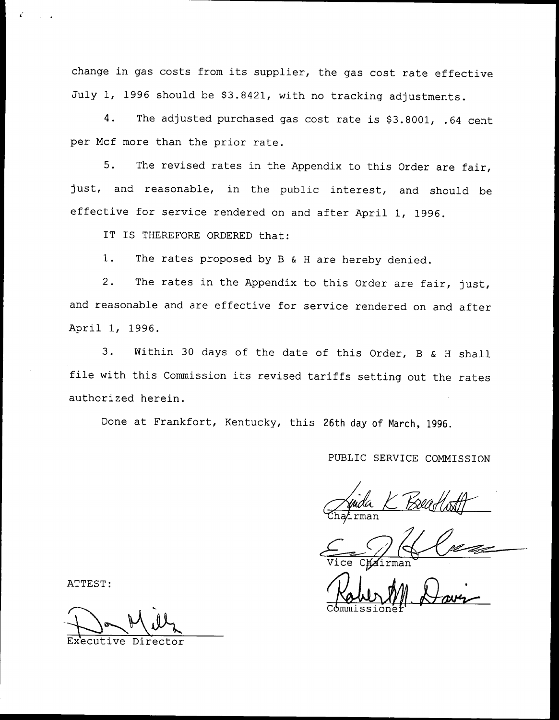change in gas costs from its supplier, the gas cost rate effective July 1, 1996 should be \$3.8421, with no tracking adjustments.

4. The adjusted purchased gas cost rate is \$3.8001, .64 cent per Mcf more than the prior rate.

5. The revised rates in the Appendix to this Order are fair, just, and reasonable, in the public interest, and should be effective for service rendered on and after April 1, 1996.

IT IS THEREFORE ORDERED that:

1. The rates proposed by <sup>B</sup> & <sup>H</sup> are hereby denied.

2. The rates in the Appendix to this Order are fair, just, and reasonable and are effective for service rendered on and after April 1, 1996.

3. Within <sup>30</sup> days of the date of this Order, <sup>B</sup> & <sup>H</sup> shall file with this Commission its revised tariffs setting out the rates authorized herein.

Done at Frankfort, Kentucky, this 26th day of Narch, 1996.

## PUBLIC SERVICE COMMISSION

ATTEST:<br>ATTEST: We Chairman Wave

 $\sim$   $\sim$   $\sim$ 

Director